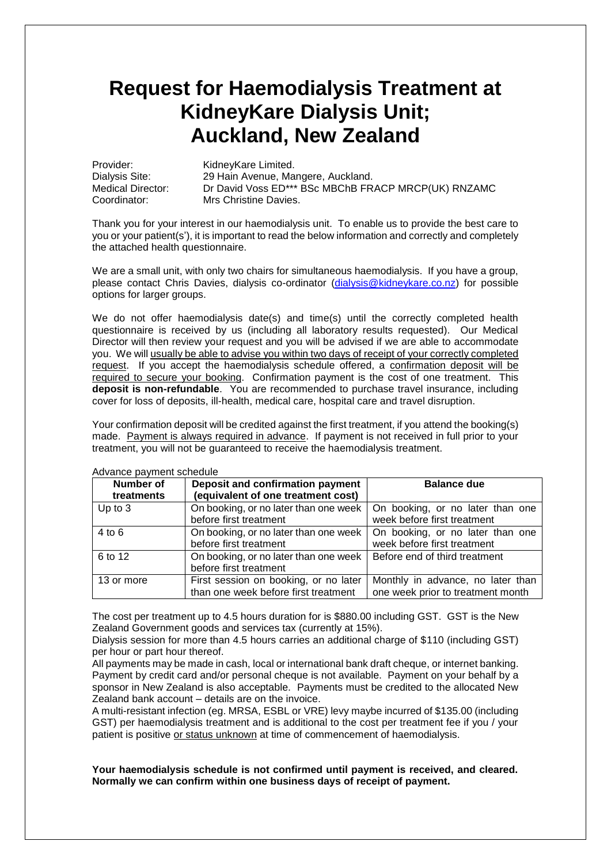# **Request for Haemodialysis Treatment at KidneyKare Dialysis Unit; Auckland, New Zealand**

Provider: KidneyKare Limited.<br>
Dialvsis Site: 29 Hain Avenue, Ma Dialysis Site: 29 Hain Avenue, Mangere, Auckland.<br>
Medical Director: Dr David Voss ED\*\*\* BSc MBChB FR Medical Director: Dr David Voss ED\*\*\* BSc MBChB FRACP MRCP(UK) RNZAMC<br>Coordinator: Mrs Christine Davies. Mrs Christine Davies.

Thank you for your interest in our haemodialysis unit. To enable us to provide the best care to you or your patient(s'), it is important to read the below information and correctly and completely the attached health questionnaire.

We are a small unit, with only two chairs for simultaneous haemodialysis. If you have a group, please contact Chris Davies, dialysis co-ordinator [\(dialysis@kidneykare.co.nz\)](mailto:dialysis@kidneykare.co.nz) for possible options for larger groups.

We do not offer haemodialysis date(s) and time(s) until the correctly completed health questionnaire is received by us (including all laboratory results requested). Our Medical Director will then review your request and you will be advised if we are able to accommodate you. We will usually be able to advise you within two days of receipt of your correctly completed request. If you accept the haemodialysis schedule offered, a confirmation deposit will be required to secure your booking. Confirmation payment is the cost of one treatment. This **deposit is non-refundable**. You are recommended to purchase travel insurance, including cover for loss of deposits, ill-health, medical care, hospital care and travel disruption.

Your confirmation deposit will be credited against the first treatment, if you attend the booking(s) made. Payment is always required in advance. If payment is not received in full prior to your treatment, you will not be guaranteed to receive the haemodialysis treatment.

| Number of<br>treatments | Deposit and confirmation payment<br>(equivalent of one treatment cost)        | <b>Balance due</b>                                                     |
|-------------------------|-------------------------------------------------------------------------------|------------------------------------------------------------------------|
| Up to $3$               | On booking, or no later than one week<br>before first treatment               | On booking, or no later than one<br>week before first treatment        |
| $4$ to 6                | On booking, or no later than one week<br>before first treatment               | On booking, or no later than one<br>week before first treatment        |
| 6 to 12                 | On booking, or no later than one week<br>before first treatment               | Before end of third treatment                                          |
| 13 or more              | First session on booking, or no later<br>than one week before first treatment | Monthly in advance, no later than<br>one week prior to treatment month |

Advance payment schedule

The cost per treatment up to 4.5 hours duration for is \$880.00 including GST. GST is the New Zealand Government goods and services tax (currently at 15%).

Dialysis session for more than 4.5 hours carries an additional charge of \$110 (including GST) per hour or part hour thereof.

All payments may be made in cash, local or international bank draft cheque, or internet banking. Payment by credit card and/or personal cheque is not available. Payment on your behalf by a sponsor in New Zealand is also acceptable. Payments must be credited to the allocated New Zealand bank account – details are on the invoice.

A multi-resistant infection (eg. MRSA, ESBL or VRE) levy maybe incurred of \$135.00 (including GST) per haemodialysis treatment and is additional to the cost per treatment fee if you / your patient is positive or status unknown at time of commencement of haemodialysis.

**Your haemodialysis schedule is not confirmed until payment is received, and cleared. Normally we can confirm within one business days of receipt of payment.**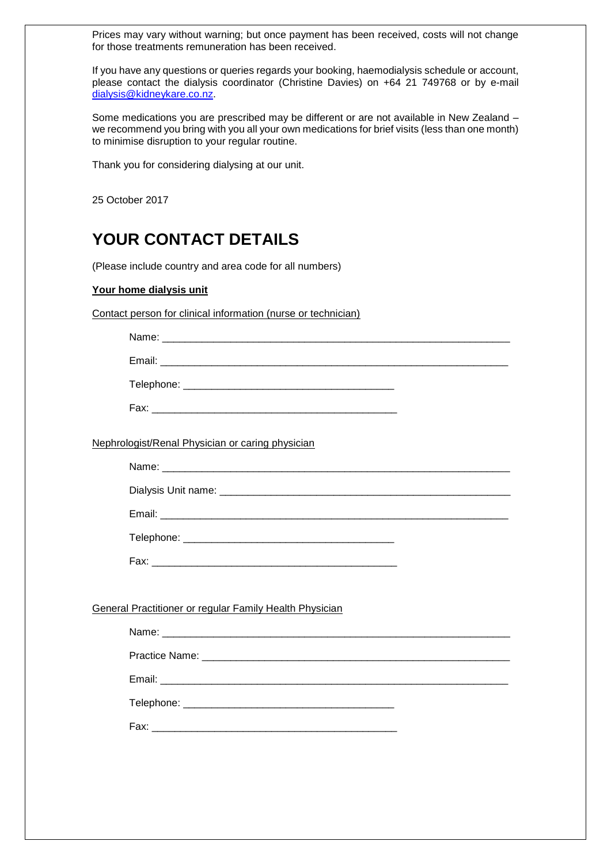Prices may vary without warning; but once payment has been received, costs will not change for those treatments remuneration has been received.

If you have any questions or queries regards your booking, haemodialysis schedule or account, please contact the dialysis coordinator (Christine Davies) on +64 21 749768 or by e-mail [dialysis@kidneykare.co.nz.](mailto:dialysis@kidneykare.co.nz)

Some medications you are prescribed may be different or are not available in New Zealand – we recommend you bring with you all your own medications for brief visits (less than one month) to minimise disruption to your regular routine.

Thank you for considering dialysing at our unit.

25 October 2017

### **YOUR CONTACT DETAILS**

(Please include country and area code for all numbers)

#### **Your home dialysis unit**

Contact person for clinical information (nurse or technician)

| Nephrologist/Renal Physician or caring physician        |  |
|---------------------------------------------------------|--|
|                                                         |  |
|                                                         |  |
|                                                         |  |
|                                                         |  |
|                                                         |  |
|                                                         |  |
| General Practitioner or regular Family Health Physician |  |
|                                                         |  |
|                                                         |  |
|                                                         |  |
|                                                         |  |
|                                                         |  |

Fax: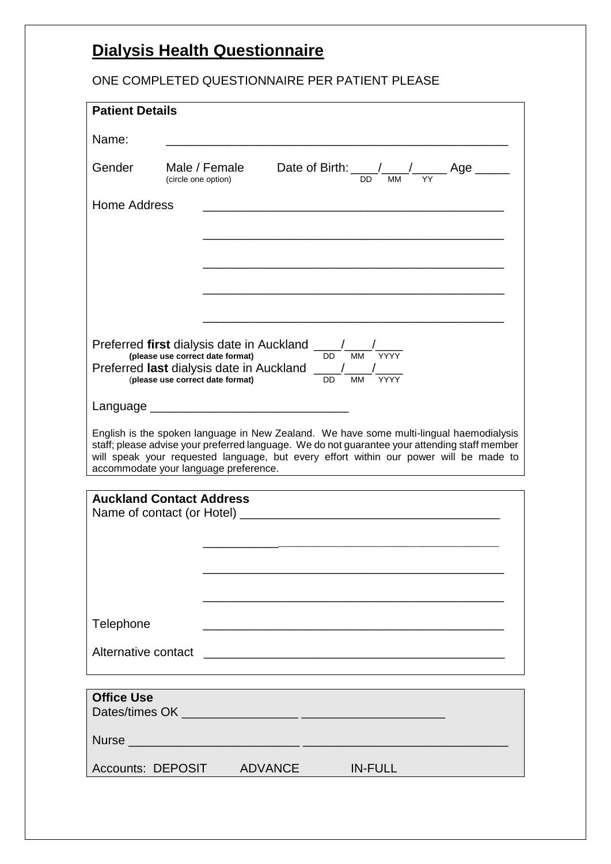# **Dialysis Health Questionnaire**

### ONE COMPLETED QUESTIONNAIRE PER PATIENT PLEASE

| <b>Patient Details</b> |                                                                                                                                                                                                                                                                                                                                                                                                                                                                       |
|------------------------|-----------------------------------------------------------------------------------------------------------------------------------------------------------------------------------------------------------------------------------------------------------------------------------------------------------------------------------------------------------------------------------------------------------------------------------------------------------------------|
| Name:                  |                                                                                                                                                                                                                                                                                                                                                                                                                                                                       |
| Gender                 | Male / Female<br>Date of Birth: $\frac{1}{DD}$ $\frac{1}{MM}$ $\frac{1}{YY}$ Age $\frac{1}{M}$<br>(circle one option)                                                                                                                                                                                                                                                                                                                                                 |
| <b>Home Address</b>    |                                                                                                                                                                                                                                                                                                                                                                                                                                                                       |
|                        |                                                                                                                                                                                                                                                                                                                                                                                                                                                                       |
|                        |                                                                                                                                                                                                                                                                                                                                                                                                                                                                       |
|                        |                                                                                                                                                                                                                                                                                                                                                                                                                                                                       |
|                        |                                                                                                                                                                                                                                                                                                                                                                                                                                                                       |
|                        |                                                                                                                                                                                                                                                                                                                                                                                                                                                                       |
|                        | Preferred first dialysis date in Auckland $\underline{\hspace{1cm}}$ $\underline{\hspace{1cm}}$ $\underline{\hspace{1cm}}$ $\underline{\hspace{1cm}}$ $\underline{\hspace{1cm}}$ $\underline{\hspace{1cm}}$ $\underline{\hspace{1cm}}$ $\underline{\hspace{1cm}}$ $\underline{\hspace{1cm}}$ $\underline{\hspace{1cm}}$ $\underline{\hspace{1cm}}$ $\underline{\hspace{1cm}}$ $\underline{\hspace{1cm}}$ $\underline{\hspace{1cm$<br>(please use correct date format) |
|                        | (please use correct date format)                                                                                                                                                                                                                                                                                                                                                                                                                                      |
|                        |                                                                                                                                                                                                                                                                                                                                                                                                                                                                       |
|                        | English is the spoken language in New Zealand. We have some multi-lingual haemodialysis<br>staff; please advise your preferred language. We do not guarantee your attending staff member<br>will speak your requested language, but every effort within our power will be made to<br>accommodate your language preference.                                                                                                                                            |
|                        |                                                                                                                                                                                                                                                                                                                                                                                                                                                                       |
|                        | <b>Auckland Contact Address</b>                                                                                                                                                                                                                                                                                                                                                                                                                                       |
|                        |                                                                                                                                                                                                                                                                                                                                                                                                                                                                       |
|                        |                                                                                                                                                                                                                                                                                                                                                                                                                                                                       |
|                        |                                                                                                                                                                                                                                                                                                                                                                                                                                                                       |
|                        |                                                                                                                                                                                                                                                                                                                                                                                                                                                                       |
| Telephone              | <u> 1989 - Johann John Stone, mars et al. 1989 - John Stone, mars et al. 1989 - John Stone, mars et al. 1989 - Joh</u>                                                                                                                                                                                                                                                                                                                                                |
| Alternative contact    | <u> 1989 - Jan James James Barnett, fransk politik (d. 1989)</u>                                                                                                                                                                                                                                                                                                                                                                                                      |
|                        |                                                                                                                                                                                                                                                                                                                                                                                                                                                                       |
| <b>Office Use</b>      | Dates/times OK New York 2007 2012 2022 2023 2024 2022 2022 2023 2024 2022 2023 2024 2022 2023 2024 2022 2023 20                                                                                                                                                                                                                                                                                                                                                       |
|                        |                                                                                                                                                                                                                                                                                                                                                                                                                                                                       |
|                        | <b>Accounts: DEPOSIT</b><br><b>ADVANCE</b><br><b>IN-FULL</b>                                                                                                                                                                                                                                                                                                                                                                                                          |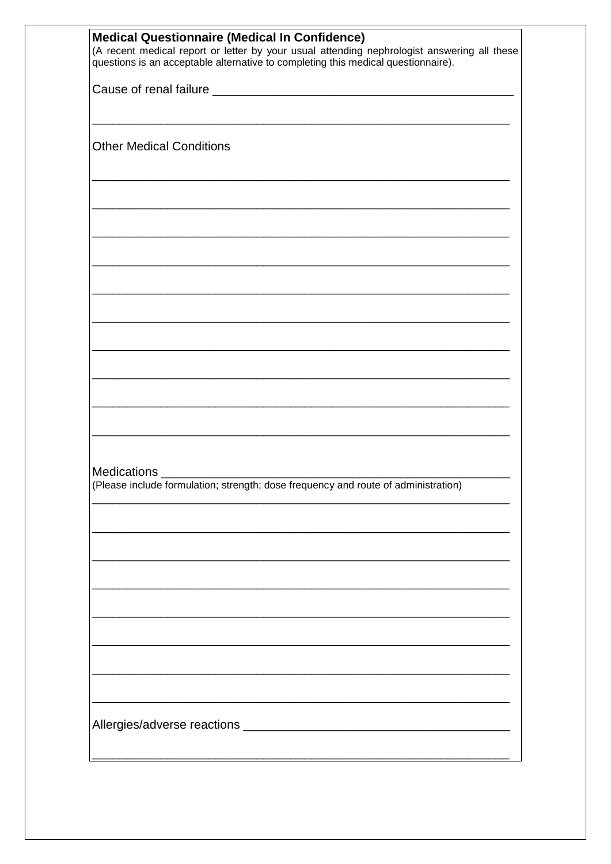| <b>Medical Questionnaire (Medical In Confidence)</b><br>(A recent medical report or letter by your usual attending nephrologist answering all these<br>questions is an acceptable alternative to completing this medical questionnaire). |
|------------------------------------------------------------------------------------------------------------------------------------------------------------------------------------------------------------------------------------------|
|                                                                                                                                                                                                                                          |
| <b>Other Medical Conditions</b>                                                                                                                                                                                                          |
|                                                                                                                                                                                                                                          |
|                                                                                                                                                                                                                                          |
|                                                                                                                                                                                                                                          |
|                                                                                                                                                                                                                                          |
|                                                                                                                                                                                                                                          |
|                                                                                                                                                                                                                                          |
| (Please include formulation; strength; dose frequency and route of administration)                                                                                                                                                       |
|                                                                                                                                                                                                                                          |
|                                                                                                                                                                                                                                          |
|                                                                                                                                                                                                                                          |
|                                                                                                                                                                                                                                          |
|                                                                                                                                                                                                                                          |
| Allergies/adverse reactions                                                                                                                                                                                                              |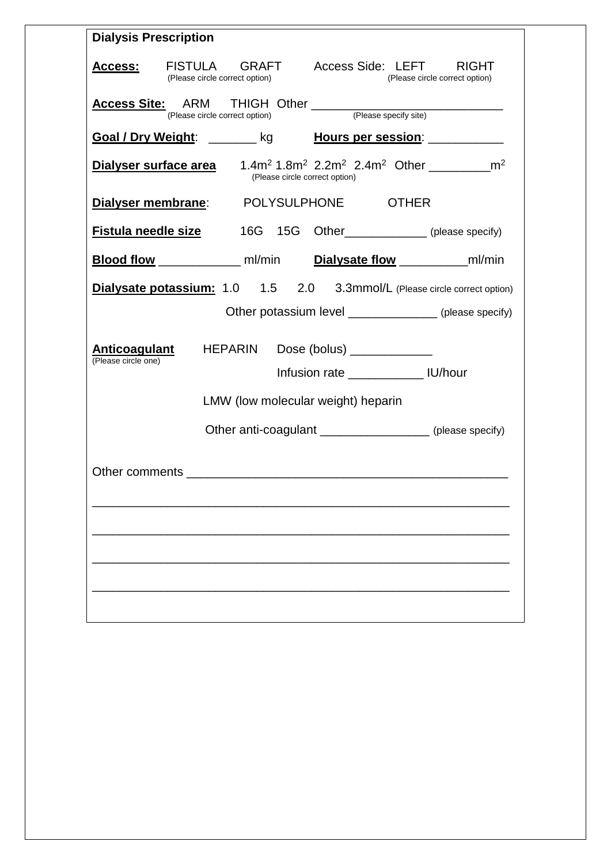| <b>Dialysis Prescription</b>                                              |                                                 |                                |                              |  |                                                           |
|---------------------------------------------------------------------------|-------------------------------------------------|--------------------------------|------------------------------|--|-----------------------------------------------------------|
| <u>Access:</u>                                                            | FISTULA GRAFT<br>(Please circle correct option) |                                |                              |  | Access Side: LEFT RIGHT<br>(Please circle correct option) |
|                                                                           |                                                 |                                |                              |  |                                                           |
| Goal / Dry Weight: _______ kg downs per session: ___________              |                                                 |                                |                              |  |                                                           |
|                                                                           |                                                 | (Please circle correct option) |                              |  |                                                           |
| Dialyser membrane: POLYSULPHONE OTHER                                     |                                                 |                                |                              |  |                                                           |
| Fistula needle size                                                       |                                                 |                                |                              |  | 16G 15G Other (please specify)                            |
| Blood flow ________________ ml/min  Dialysate flow _____________ ml/min   |                                                 |                                |                              |  |                                                           |
| Dialysate potassium: 1.0 1.5 2.0 3.3mmol/L (Please circle correct option) |                                                 |                                |                              |  |                                                           |
|                                                                           |                                                 |                                |                              |  | Other potassium level ______________ (please specify)     |
| <u>Anticoagulant</u><br>(Please circle one)                               | HEPARIN Dose (bolus) ____________               |                                | Infusion rate <b>ID/hour</b> |  |                                                           |
|                                                                           | LMW (low molecular weight) heparin              |                                |                              |  |                                                           |
|                                                                           |                                                 |                                |                              |  | Other anti-coagulant ___________________ (please specify) |
|                                                                           |                                                 |                                |                              |  |                                                           |
|                                                                           |                                                 |                                |                              |  |                                                           |
|                                                                           |                                                 |                                |                              |  |                                                           |
|                                                                           |                                                 |                                |                              |  |                                                           |
|                                                                           |                                                 |                                |                              |  |                                                           |